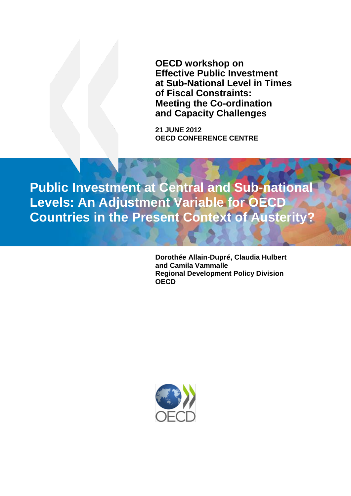<span id="page-0-0"></span>**OECD workshop on Effective Public Investment at Sub-National Level in Times of Fiscal Constraints: Meeting the Co-ordination and Capacity Challenges**

**21 JUNE 2012 OECD CONFERENCE CENTRE**

**Public Investment at Central and Sub-national Levels: An Adjustment Variable for OECD Countries in the Present Context of Austerity?**

> **Dorothée Allain-Dupré, Claudia Hulbert and Camila Vammalle Regional Development Policy Division OECD**

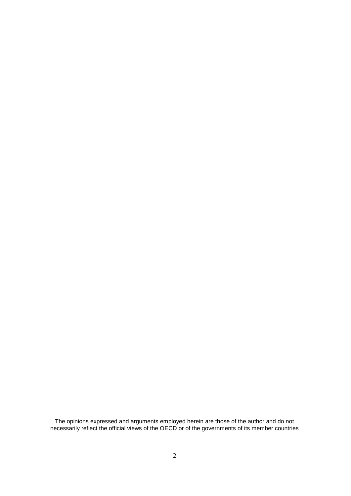The opinions expressed and arguments employed herein are those of the author and do not necessarily reflect the official views of the OECD or of the governments of its member countries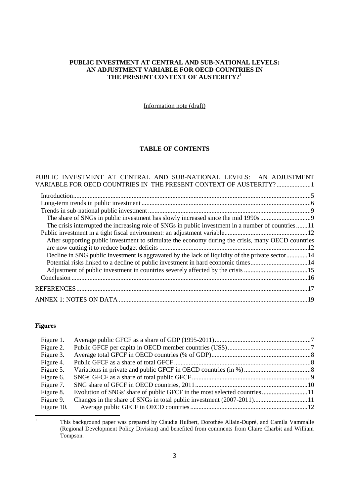## **PUBLIC INVESTMENT AT CENTRAL AND SUB-NATIONAL LEVELS: AN ADJUSTMENT VARIABLE FOR OECD COUNTRIES IN THE PRESENT CONTEXT OF AUSTERITY? 1**

Information note (draft)

# **TABLE OF CONTENTS**

| PUBLIC INVESTMENT AT CENTRAL AND SUB-NATIONAL LEVELS: AN ADJUSTMENT                                |  |
|----------------------------------------------------------------------------------------------------|--|
| VARIABLE FOR OECD COUNTRIES IN THE PRESENT CONTEXT OF AUSTERITY? 1                                 |  |
|                                                                                                    |  |
|                                                                                                    |  |
|                                                                                                    |  |
|                                                                                                    |  |
| The crisis interrupted the increasing role of SNGs in public investment in a number of countries11 |  |
|                                                                                                    |  |
| After supporting public investment to stimulate the economy during the crisis, many OECD countries |  |
|                                                                                                    |  |
| Decline in SNG public investment is aggravated by the lack of liquidity of the private sector14    |  |
| Potential risks linked to a decline of public investment in hard economic times14                  |  |
|                                                                                                    |  |
|                                                                                                    |  |
|                                                                                                    |  |
|                                                                                                    |  |

# **Figures**

| Figure 1.  |                                                                          |  |
|------------|--------------------------------------------------------------------------|--|
| Figure 2.  |                                                                          |  |
| Figure 3.  |                                                                          |  |
| Figure 4.  |                                                                          |  |
| Figure 5.  |                                                                          |  |
| Figure 6.  |                                                                          |  |
| Figure 7.  |                                                                          |  |
| Figure 8.  | Evolution of SNGs' share of public GFCF in the most selected countries11 |  |
| Figure 9.  |                                                                          |  |
| Figure 10. |                                                                          |  |
|            |                                                                          |  |

 $\bar{1}$ 

<sup>1</sup> This background paper was prepared by Claudia Hulbert, Dorothée Allain-Dupré, and Camila Vammalle (Regional Development Policy Division) and benefited from comments from Claire Charbit and William Tompson.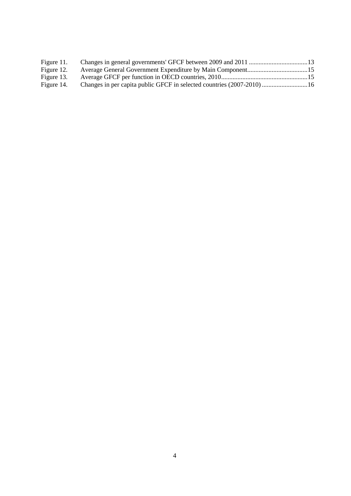| Figure 11. |  |
|------------|--|
| Figure 12. |  |
| Figure 13. |  |
| Figure 14. |  |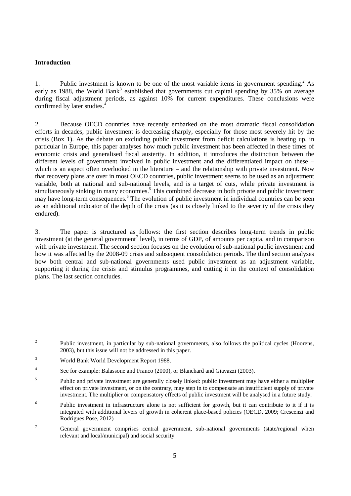## <span id="page-4-0"></span>**Introduction**

1. Public investment is known to be one of the most variable items in government spending. <sup>2</sup> As early as 1988, the World Bank<sup>3</sup> established that governments cut capital spending by 35% on average during fiscal adjustment periods, as against 10% for current expenditures. These conclusions were confirmed by later studies. 4

2. Because OECD countries have recently embarked on the most dramatic fiscal consolidation efforts in decades, public investment is decreasing sharply, especially for those most severely hit by the crisis (Box 1). As the debate on excluding public investment from deficit calculations is heating up, in particular in Europe, this paper analyses how much public investment has been affected in these times of economic crisis and generalised fiscal austerity. In addition, it introduces the distinction between the different levels of government involved in public investment and the differentiated impact on these – which is an aspect often overlooked in the literature – and the relationship with private investment. Now that recovery plans are over in most OECD countries, public investment seems to be used as an adjustment variable, both at national and sub-national levels, and is a target of cuts, while private investment is simultaneously sinking in many economies.<sup>5</sup> This combined decrease in both private and public investment may have long-term consequences.<sup>6</sup> The evolution of public investment in individual countries can be seen as an additional indicator of the depth of the crisis (as it is closely linked to the severity of the crisis they endured).

3. The paper is structured as follows: the first section describes long-term trends in public investment (at the general government<sup>7</sup> level), in terms of GDP, of amounts per capita, and in comparison with private investment. The second section focuses on the evolution of sub-national public investment and how it was affected by the 2008-09 crisis and subsequent consolidation periods. The third section analyses how both central and sub-national governments used public investment as an adjustment variable, supporting it during the crisis and stimulus programmes, and cutting it in the context of consolidation plans. The last section concludes.

 $\frac{1}{2}$ Public investment, in particular by sub-national governments, also follows the political cycles (Hoorens, 2003), but this issue will not be addressed in this paper.

<sup>3</sup> World Bank World Development Report 1988.

<sup>4</sup> See for example: Balassone and Franco (2000), or Blanchard and Giavazzi (2003).

<sup>5</sup> Public and private investment are generally closely linked: public investment may have either a multiplier effect on private investment, or on the contrary, may step in to compensate an insufficient supply of private investment. The multiplier or compensatory effects of public investment will be analysed in a future study.

<sup>6</sup> Public investment in infrastructure alone is not sufficient for growth, but it can contribute to it if it is integrated with additional levers of growth in coherent place-based policies (OECD, 2009; Crescenzi and Rodrigues Pose, 2012)

<sup>&</sup>lt;sup>7</sup> General government comprises central government, sub-national governments (state/regional when relevant and local/municipal) and social security.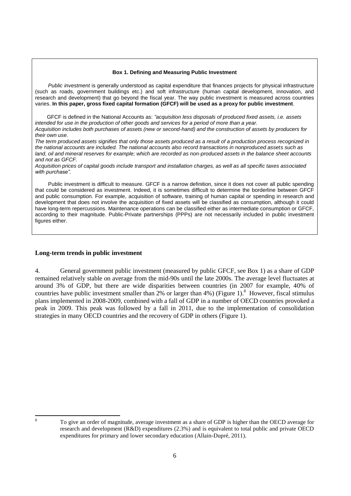#### **Box 1. Defining and Measuring Public Investment**

*Public investment* is generally understood as capital expenditure that finances projects for physical infrastructure (such as roads, government buildings etc.) and soft infrastructure (human capital development, innovation, and research and development) that go beyond the fiscal year. The way public investment is measured across countries varies. **In this paper, gross fixed capital formation (GFCF) will be used as a proxy for public investment**.

 GFCF is defined in the National Accounts as: *"acquisition less disposals of produced fixed assets, i.e. assets intended for use in the production of other goods and services for a period of more than a year. Acquisition includes both purchases of assets (new or second-hand) and the construction of assets by producers for their own use.*

*The term produced assets signifies that only those assets produced as a result of a production process recognized in the national accounts are included. The national accounts also record transactions in nonproduced assets such as land, oil and mineral reserves for example; which are recorded as non-produced assets in the balance sheet accounts and not as GFCF.*

*Acquisition prices of capital goods include transport and installation charges, as well as all specific taxes associated with purchase".*

Public investment is difficult to measure. GFCF is a narrow definition, since it does not cover all public spending that could be considered as investment. Indeed, it is sometimes difficult to determine the borderline between GFCF and public consumption. For example, acquisition of software, training of human capital or spending in research and development that does not involve the acquisition of fixed assets will be classified as consumption, although it could have long-term repercussions. Maintenance operations can be classified either as intermediate consumption or GFCF, according to their magnitude. Public-Private partnerships (PPPs) are not necessarily included in public investment figures either.

#### <span id="page-5-0"></span>**Long-term trends in public investment**

4. General government public investment (measured by public GFCF, see Box 1) as a share of GDP remained relatively stable on average from the mid-90s until the late 2000s. The average level fluctuates at around 3% of GDP, but there are wide disparities between countries (in 2007 for example, 40% of countries have public investment smaller than  $2\%$  or larger than 4%) (Figure 1).<sup>8</sup> However, fiscal stimulus plans implemented in 2008-2009, combined with a fall of GDP in a number of OECD countries provoked a peak in 2009. This peak was followed by a fall in 2011, due to the implementation of consolidation strategies in many OECD countries and the recovery of GDP in others (Figure 1).

<sup>8</sup> To give an order of magnitude, average investment as a share of GDP is higher than the OECD average for research and development (R&D) expenditures (2.3%) and is equivalent to total public and private OECD expenditures for primary and lower secondary education (Allain-Dupré, 2011).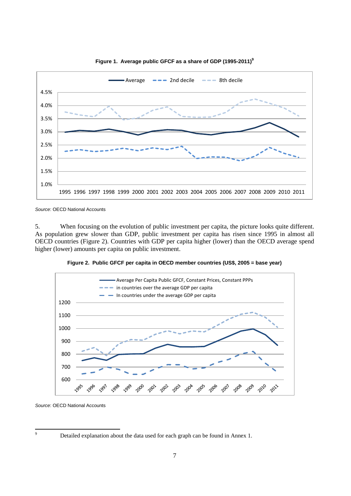

<span id="page-6-0"></span>**Figure 1. Average public GFCF as a share of GDP (1995-2011)<sup>9</sup>**

*Source*: OECD National Accounts

5. When focusing on the evolution of public investment per capita, the picture looks quite different. As population grew slower than GDP, public investment per capita has risen since 1995 in almost all OECD countries (Figure 2). Countries with GDP per capita higher (lower) than the OECD average spend higher (lower) amounts per capita on public investment.

<span id="page-6-1"></span>



*Source*: OECD National Accounts

 $\overline{9}$ 

Detailed explanation about the data used for each graph can be found in Annex 1.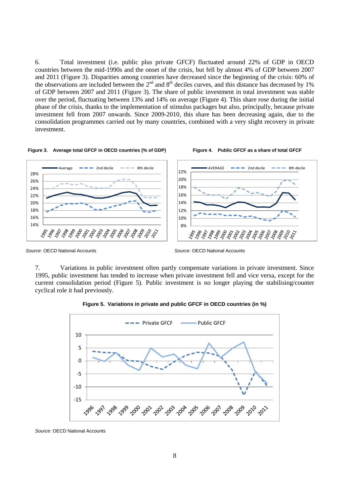6. Total investment (i.e. public plus private GFCF) fluctuated around 22% of GDP in OECD countries between the mid-1990s and the onset of the crisis, but fell by almost 4% of GDP between 2007 and 2011 (Figure 3). Disparities among countries have decreased since the beginning of the crisis: 60% of the observations are included between the  $2<sup>nd</sup>$  and  $8<sup>th</sup>$  deciles curves, and this distance has decreased by  $1%$ of GDP between 2007 and 2011 (Figure 3). The share of public investment in total investment was stable over the period, fluctuating between 13% and 14% on average (Figure 4). This share rose during the initial phase of the crisis, thanks to the implementation of stimulus packages but also, principally, because private investment fell from 2007 onwards. Since 2009-2010, this share has been decreasing again, due to the consolidation programmes carried out by many countries, combined with a very slight recovery in private investment.



<span id="page-7-1"></span><span id="page-7-0"></span>

*Source*: OECD National Accounts

<span id="page-7-2"></span>*Source*: OECD National Accounts

7. Variations in public investment often partly compensate variations in private investment. Since 1995, public investment has tended to increase when private investment fell and vice versa, except for the current consolidation period (Figure 5). Public investment is no longer playing the stabilising/counter cyclical role it had previously.



**Figure 5. Variations in private and public GFCF in OECD countries (in %)**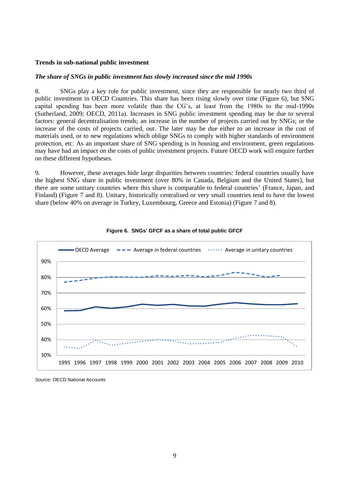#### <span id="page-8-0"></span>**Trends in sub-national public investment**

#### <span id="page-8-1"></span>*The share of SNGs in public investment has slowly increased since the mid 1990s*

8. SNGs play a key role for public investment, since they are responsible for nearly two third of public investment in OECD Countries. This share has been rising slowly over time (Figure 6), but SNG capital spending has been more volatile than the CG's, at least from the 1980s to the mid-1990s (Sutherland, 2009; OECD, 2011a). Increases in SNG public investment spending may be due to several factors: general decentralisation trends; an increase in the number of projects carried out by SNGs; or the increase of the costs of projects carried, out. The later may be due either to an increase in the cost of materials used, or to new regulations which oblige SNGs to comply with higher standards of environment protection, etc. As an important share of SNG spending is in housing and environment, green regulations may have had an impact on the costs of public investment projects. Future OECD work will enquire further on these different hypotheses.

9. However, these averages hide large disparities between countries: federal countries usually have the highest SNG share in public investment (over 80% in Canada, Belgium and the United States), but there are some unitary countries where this share is comparable to federal countries' (France, Japan, and Finland) (Figure 7 and 8). Unitary, historically centralised or very small countries tend to have the lowest share (below 40% on average in Turkey, Luxembourg, Greece and Estonia) (Figure 7 and 8).



<span id="page-8-2"></span>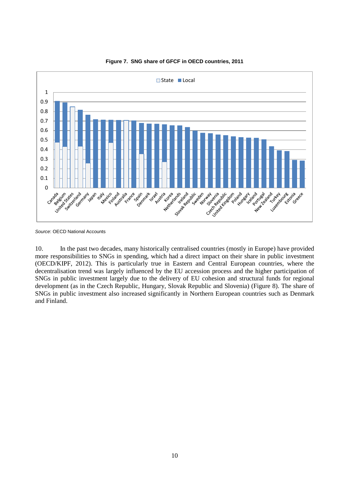

#### <span id="page-9-0"></span>**Figure 7. SNG share of GFCF in OECD countries, 2011**

*Source*: OECD National Accounts

10. In the past two decades, many historically centralised countries (mostly in Europe) have provided more responsibilities to SNGs in spending, which had a direct impact on their share in public investment (OECD/KIPF, 2012). This is particularly true in Eastern and Central European countries, where the decentralisation trend was largely influenced by the EU accession process and the higher participation of SNGs in public investment largely due to the delivery of EU cohesion and structural funds for regional development (as in the Czech Republic, Hungary, Slovak Republic and Slovenia) (Figure 8). The share of SNGs in public investment also increased significantly in Northern European countries such as Denmark and Finland.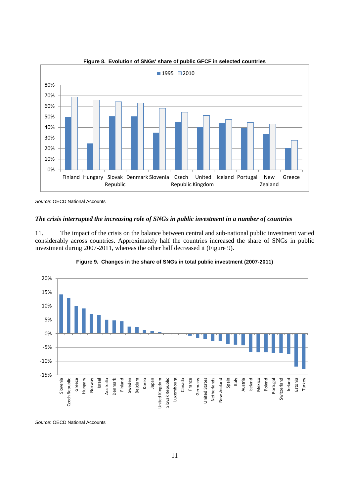<span id="page-10-1"></span>

**Figure 8. Evolution of SNGs' share of public GFCF in selected countries**

### <span id="page-10-0"></span>*The crisis interrupted the increasing role of SNGs in public investment in a number of countries*

11. The impact of the crisis on the balance between central and sub-national public investment varied considerably across countries. Approximately half the countries increased the share of SNGs in public investment during 2007-2011, whereas the other half decreased it (Figure 9).



<span id="page-10-2"></span>

*Source*: OECD National Accounts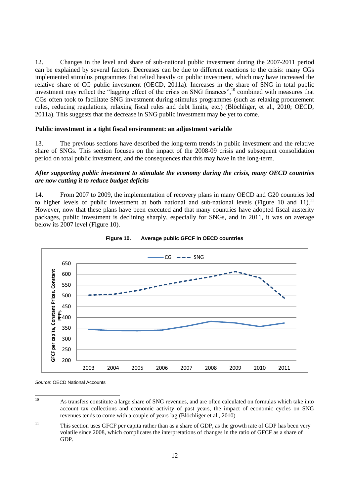12. Changes in the level and share of sub-national public investment during the 2007-2011 period can be explained by several factors. Decreases can be due to different reactions to the crisis: many CGs implemented stimulus programmes that relied heavily on public investment, which may have increased the relative share of CG public investment (OECD, 2011a). Increases in the share of SNG in total public investment may reflect the "lagging effect of the crisis on SNG finances", <sup>10</sup> combined with measures that CGs often took to facilitate SNG investment during stimulus programmes (such as relaxing procurement rules, reducing regulations, relaxing fiscal rules and debt limits, etc.) (Blöchliger, et al., 2010; OECD, 2011a). This suggests that the decrease in SNG public investment may be yet to come.

#### <span id="page-11-0"></span>**Public investment in a tight fiscal environment: an adjustment variable**

13. The previous sections have described the long-term trends in public investment and the relative share of SNGs. This section focuses on the impact of the 2008-09 crisis and subsequent consolidation period on total public investment, and the consequences that this may have in the long-term.

#### <span id="page-11-1"></span>*After supporting public investment to stimulate the economy during the crisis, many OECD countries are now cutting it to reduce budget deficits*

14. From 2007 to 2009, the implementation of recovery plans in many OECD and G20 countries led to higher levels of public investment at both national and sub-national levels (Figure 10 and 11).<sup>11</sup> However, now that these plans have been executed and that many countries have adopted fiscal austerity packages, public investment is declining sharply, especially for SNGs, and in 2011, it was on average below its 2007 level (Figure 10).



<span id="page-11-2"></span>

 $10$ 

<sup>10</sup> As transfers constitute a large share of SNG revenues, and are often calculated on formulas which take into account tax collections and economic activity of past years, the impact of economic cycles on SNG revenues tends to come with a couple of years lag (Blöchliger et al., 2010)

<sup>&</sup>lt;sup>11</sup> This section uses GFCF per capita rather than as a share of GDP, as the growth rate of GDP has been very volatile since 2008, which complicates the interpretations of changes in the ratio of GFCF as a share of GDP.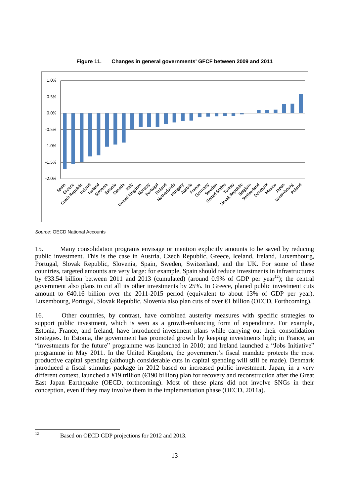

<span id="page-12-0"></span>**Figure 11. Changes in general governments' GFCF between 2009 and 2011**

*Source*: OECD National Accounts

15. Many consolidation programs envisage or mention explicitly amounts to be saved by reducing public investment. This is the case in Austria, Czech Republic, Greece, Iceland, Ireland, Luxembourg, Portugal, Slovak Republic, Slovenia, Spain, Sweden, Switzerland, and the UK. For some of these countries, targeted amounts are very large: for example, Spain should reduce investments in infrastructures by  $\epsilon$ 33.54 billion between 2011 and 2013 (cumulated) (around 0.9% of GDP per year<sup>12</sup>); the central government also plans to cut all its other investments by 25%. In Greece, planed public investment cuts amount to  $\epsilon$ 40.16 billion over the 2011-2015 period (equivalent to about 13% of GDP per year). Luxembourg, Portugal, Slovak Republic, Slovenia also plan cuts of over €1 billion (OECD, Forthcoming).

16. Other countries, by contrast, have combined austerity measures with specific strategies to support public investment, which is seen as a growth-enhancing form of expenditure. For example, Estonia, France, and Ireland, have introduced investment plans while carrying out their consolidation strategies. In Estonia, the government has promoted growth by keeping investments high; in France, an "investments for the future" programme was launched in 2010; and Ireland launched a "Jobs Initiative" programme in May 2011. In the United Kingdom, the government's fiscal mandate protects the most productive capital spending (although considerable cuts in capital spending will still be made). Denmark introduced a fiscal stimulus package in 2012 based on increased public investment. Japan, in a very different context, launched a ¥19 trillion (€190 billion) plan for recovery and reconstruction after the Great East Japan Earthquake (OECD, forthcoming). Most of these plans did not involve SNGs in their conception, even if they may involve them in the implementation phase (OECD, 2011a).

 $12$ 

Based on OECD GDP projections for 2012 and 2013.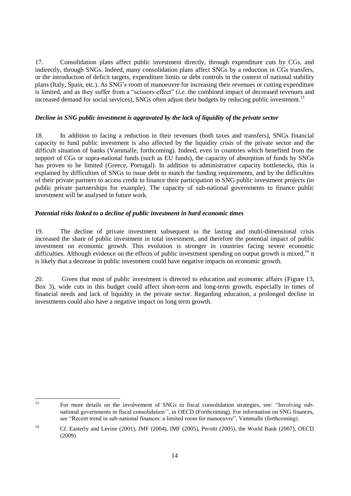17. Consolidation plans affect public investment directly, through expenditure cuts by CGs, and indirectly, through SNGs. Indeed, many consolidation plans affect SNGs by a reduction in CGs transfers, or the introduction of deficit targets, expenditure limits or debt controls in the context of national stability plans (Italy, Spain, etc.). As SNG's room of manoeuvre for increasing their revenues or cutting expenditure is limited, and as they suffer from a "scissors effect" (*i.e.* the combined impact of decreased revenues and increased demand for social services), SNGs often adjust their budgets by reducing public investment.<sup>13</sup>

## <span id="page-13-0"></span>*Decline in SNG public investment is aggravated by the lack of liquidity of the private sector*

18. In addition to facing a reduction in their revenues (both taxes and transfers), SNGs financial capacity to fund public investment is also affected by the liquidity crisis of the private sector and the difficult situation of banks (Vammalle, forthcoming). Indeed, even in countries which benefited from the support of CGs or supra-national funds (such as EU funds), the capacity of absorption of funds by SNGs has proven to be limited (Greece, Portugal). In addition to administrative capacity bottlenecks, this is explained by difficulties of SNGs to issue debt to match the funding requirements, and by the difficulties of their private partners to access credit to finance their participation in SNG public investment projects (in public private partnerships for example). The capacity of sub-national governments to finance public investment will be analysed in future work.

### <span id="page-13-1"></span>*Potential risks linked to a decline of public investment in hard economic times*

19. The decline of private investment subsequent to the lasting and multi-dimensional crisis increased the share of public investment in total investment, and therefore the potential impact of public investment on economic growth. This evolution is stronger in countries facing severe economic difficulties. Although evidence on the effects of public investment spending on output growth is mixed,<sup>14</sup> it is likely that a decrease in public investment could have negative impacts on economic growth.

20. Given that most of public investment is directed to education and economic affairs (Figure 13, Box 3), wide cuts in this budget could affect short-term and long-term growth, especially in times of financial needs and lack of liquidity in the private sector. Regarding education, a prolonged decline in investments could also have a negative impact on long term growth.

 $\overline{12}$ <sup>13</sup> For more details on the involvement of SNGs in fiscal consolidation strategies, see: "Involving subnational governments in fiscal consolidation'', in OECD (Forthcoming). For information on SNG finances, see "Recent trend in sub-national finances: a limited room for manoeuvre", Vammalle (forthcoming).

<sup>&</sup>lt;sup>14</sup> Cf. Easterly and Levine (2001), IMF (2004), IMF (2005), Perotti (2005), the World Bank (2007), OECD (2009)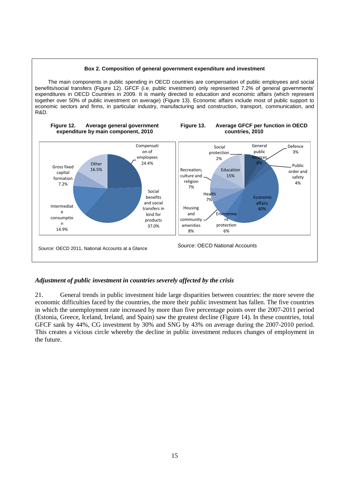<span id="page-14-2"></span><span id="page-14-1"></span>

The main components in public spending in OECD countries are compensation of public employees and social benefits/social transfers (Figure 12). GFCF (i.e. public investment) only represented 7.2% of general governments' expenditures in OECD Countries in 2009. It is mainly directed to education and economic affairs (which represent together over 50% of public investment on average) (Figure 13). Economic affairs include most of public support to economic sectors and firms, in particular industry, manufacturing and construction, transport, communication, and R&D.



# <span id="page-14-0"></span>*Adjustment of public investment in countries severely affected by the crisis*

21. General trends in public investment hide large disparities between countries: the more severe the economic difficulties faced by the countries, the more their public investment has fallen. The five countries in which the unemployment rate increased by more than five percentage points over the 2007-2011 period (Estonia, Greece, Iceland, Ireland, and Spain) saw the greatest decline (Figure 14). In these countries, total GFCF sank by 44%, CG investment by 30% and SNG by 43% on average during the 2007-2010 period. This creates a vicious circle whereby the decline in public investment reduces changes of employment in the future.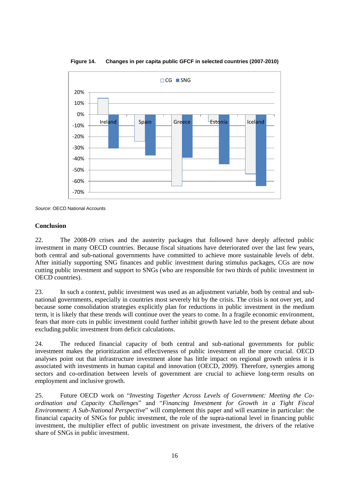

<span id="page-15-1"></span>**Figure 14. Changes in per capita public GFCF in selected countries (2007-2010)**

#### <span id="page-15-0"></span>**Conclusion**

22. The 2008-09 crises and the austerity packages that followed have deeply affected public investment in many OECD countries. Because fiscal situations have deteriorated over the last few years, both central and sub-national governments have committed to achieve more sustainable levels of debt. After initially supporting SNG finances and public investment during stimulus packages, CGs are now cutting public investment and support to SNGs (who are responsible for two thirds of public investment in OECD countries).

23. In such a context, public investment was used as an adjustment variable, both by central and subnational governments, especially in countries most severely hit by the crisis. The crisis is not over yet, and because some consolidation strategies explicitly plan for reductions in public investment in the medium term, it is likely that these trends will continue over the years to come. In a fragile economic environment, fears that more cuts in public investment could further inhibit growth have led to the present debate about excluding public investment from deficit calculations.

24. The reduced financial capacity of both central and sub-national governments for public investment makes the prioritization and effectiveness of public investment all the more crucial. OECD analyses point out that infrastructure investment alone has little impact on regional growth unless it is associated with investments in human capital and innovation (OECD, 2009). Therefore, synergies among sectors and co-ordination between levels of government are crucial to achieve long-term results on employment and inclusive growth.

25. Future OECD work on "*Investing Together Across Levels of Government: Meeting the Coordination and Capacity Challenges*" and "*Financing Investment for Growth in a Tight Fiscal Environment: A Sub-National Perspective*" will complement this paper and will examine in particular: the financial capacity of SNGs for public investment, the role of the supra-national level in financing public investment, the multiplier effect of public investment on private investment, the drivers of the relative share of SNGs in public investment.

*Source*: OECD National Accounts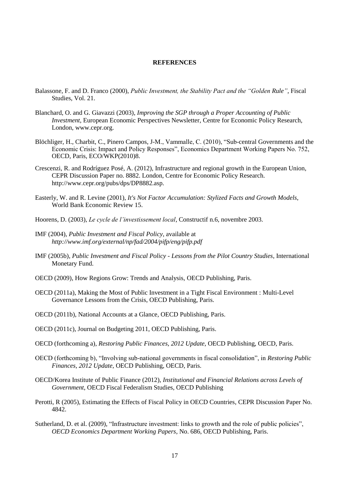#### <span id="page-16-0"></span>**REFERENCES**

- Balassone, F. and D. Franco (2000), *Public Investment, the Stability Pact and the "Golden Rule"*, Fiscal Studies, Vol. 21.
- Blanchard, O. and G. Giavazzi (2003), *Improving the SGP through a Proper Accounting of Public Investment*, European Economic Perspectives Newsletter, Centre for Economic Policy Research, London, www.cepr.org.
- Blöchliger, H., Charbit, C., Pinero Campos, J-M., Vammalle, C. (2010), "Sub-central Governments and the Economic Crisis: Impact and Policy Responses", Economics Department Working Papers No. 752, OECD, Paris, ECO/WKP(2010)8.
- Crescenzi, R. and Rodríguez Posé, A. (2012), Infrastructure and regional growth in the European Union, CEPR Discussion Paper no. 8882. London, Centre for Economic Policy Research. http://www.cepr.org/pubs/dps/DP8882.asp.
- Easterly, W. and R. Levine (2001), *It's Not Factor Accumulation: Stylized Facts and Growth Models*, World Bank Economic Review 15.
- Hoorens, D. (2003), *Le cycle de l'investissement local*, Constructif n.6, novembre 2003.
- IMF (2004), *Public Investment and Fiscal Policy*, available at *http://www.imf.org/external/np/fad/2004/pifp/eng/pifp.pdf*
- IMF (2005b), *Public Investment and Fiscal Policy - Lessons from the Pilot Country Studies*, International Monetary Fund.
- OECD (2009), How Regions Grow: Trends and Analysis, OECD Publishing, Paris.
- OECD (2011a), Making the Most of Public Investment in a Tight Fiscal Environment : Multi-Level Governance Lessons from the Crisis, OECD Publishing, Paris.
- OECD (2011b), National Accounts at a Glance, OECD Publishing, Paris.
- OECD (2011c), Journal on Budgeting 2011, OECD Publishing, Paris.
- OECD (forthcoming a), *Restoring Public Finances, 2012 Update*, OECD Publishing, OECD, Paris.
- OECD (forthcoming b), "Involving sub-national governments in fiscal consolidation", in *Restoring Public Finances, 2012 Update*, OECD Publishing, OECD, Paris.
- OECD/Korea Institute of Public Finance (2012), *Institutional and Financial Relations across Levels of Government*, OECD Fiscal Federalism Studies, OECD Publishing
- Perotti, R (2005), Estimating the Effects of Fiscal Policy in OECD Countries, CEPR Discussion Paper No. 4842.
- Sutherland, D. et al. (2009), "Infrastructure investment: links to growth and the role of public policies", *OECD Economics Department Working Papers*, No. 686, OECD Publishing, Paris.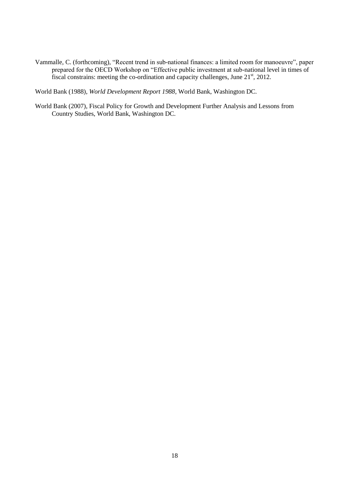Vammalle, C. (forthcoming), "Recent trend in sub-national finances: a limited room for manoeuvre", paper prepared for the OECD Workshop on "Effective public investment at sub-national level in times of fiscal constrains: meeting the co-ordination and capacity challenges, June  $21<sup>st</sup>$ , 2012.

World Bank (1988), *World Development Report 1988*, World Bank, Washington DC.

World Bank (2007), Fiscal Policy for Growth and Development Further Analysis and Lessons from Country Studies, World Bank, Washington DC.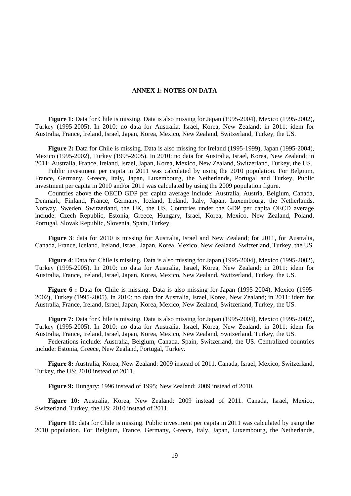#### <span id="page-18-0"></span>**ANNEX 1: NOTES ON DATA**

**Figure 1:** Data for Chile is missing. Data is also missing for Japan (1995-2004), Mexico (1995-2002), Turkey (1995-2005). In 2010: no data for Australia, Israel, Korea, New Zealand; in 2011: idem for Australia, France, Ireland, Israel, Japan, Korea, Mexico, New Zealand, Switzerland, Turkey, the US.

**Figure 2:** Data for Chile is missing. Data is also missing for Ireland (1995-1999), Japan (1995-2004), Mexico (1995-2002), Turkey (1995-2005). In 2010: no data for Australia, Israel, Korea, New Zealand; in 2011: Australia, France, Ireland, Israel, Japan, Korea, Mexico, New Zealand, Switzerland, Turkey, the US.

Public investment per capita in 2011 was calculated by using the 2010 population. For Belgium, France, Germany, Greece, Italy, Japan, Luxembourg, the Netherlands, Portugal and Turkey, Public investment per capita in 2010 and/or 2011 was calculated by using the 2009 population figure.

Countries above the OECD GDP per capita average include: Australia, Austria, Belgium, Canada, Denmark, Finland, France, Germany, Iceland, Ireland, Italy, Japan, Luxembourg, the Netherlands, Norway, Sweden, Switzerland, the UK, the US. Countries under the GDP per capita OECD average include: Czech Republic, Estonia, Greece, Hungary, Israel, Korea, Mexico, New Zealand, Poland, Portugal, Slovak Republic, Slovenia, Spain, Turkey.

**Figure 3**: data for 2010 is missing for Australia, Israel and New Zealand; for 2011, for Australia, Canada, France, Iceland, Ireland, Israel, Japan, Korea, Mexico, New Zealand, Switzerland, Turkey, the US.

**Figure 4**: Data for Chile is missing. Data is also missing for Japan (1995-2004), Mexico (1995-2002), Turkey (1995-2005). In 2010: no data for Australia, Israel, Korea, New Zealand; in 2011: idem for Australia, France, Ireland, Israel, Japan, Korea, Mexico, New Zealand, Switzerland, Turkey, the US.

**Figure 6 :** Data for Chile is missing. Data is also missing for Japan (1995-2004), Mexico (1995- 2002), Turkey (1995-2005). In 2010: no data for Australia, Israel, Korea, New Zealand; in 2011: idem for Australia, France, Ireland, Israel, Japan, Korea, Mexico, New Zealand, Switzerland, Turkey, the US.

**Figure 7:** Data for Chile is missing. Data is also missing for Japan (1995-2004), Mexico (1995-2002), Turkey (1995-2005). In 2010: no data for Australia, Israel, Korea, New Zealand; in 2011: idem for Australia, France, Ireland, Israel, Japan, Korea, Mexico, New Zealand, Switzerland, Turkey, the US.

Federations include: Australia, Belgium, Canada, Spain, Switzerland, the US. Centralized countries include: Estonia, Greece, New Zealand, Portugal, Turkey.

**Figure 8:** Australia, Korea, New Zealand: 2009 instead of 2011. Canada, Israel, Mexico, Switzerland, Turkey, the US: 2010 instead of 2011.

**Figure 9:** Hungary: 1996 instead of 1995; New Zealand: 2009 instead of 2010.

**Figure 10:** Australia, Korea, New Zealand: 2009 instead of 2011. Canada, Israel, Mexico, Switzerland, Turkey, the US: 2010 instead of 2011.

**Figure** 11: data for Chile is missing. Public investment per capita in 2011 was calculated by using the 2010 population. For Belgium, France, Germany, Greece, Italy, Japan, Luxembourg, the Netherlands,